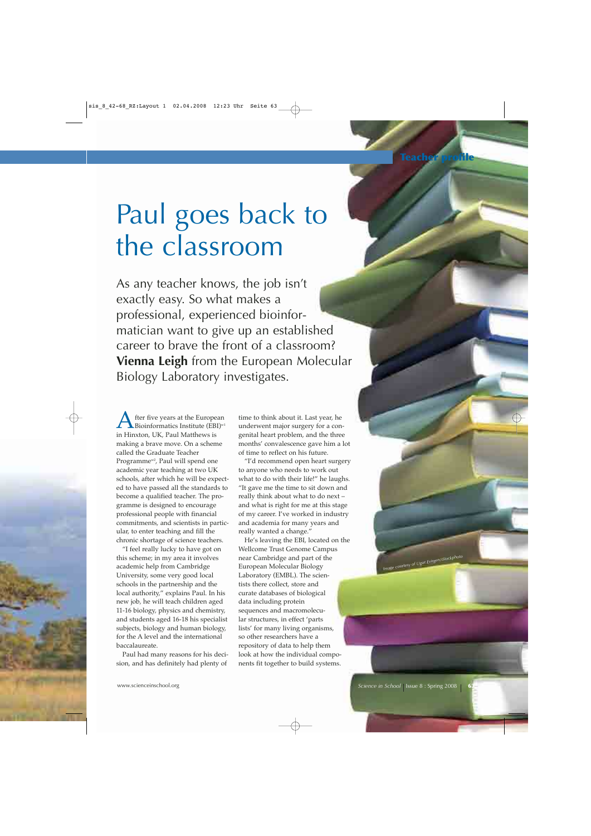## Paul goes back to the classroom

As any teacher knows, the job isn't exactly easy. So what makes a professional, experienced bioinformatician want to give up an established career to brave the front of a classroom? **Vienna Leigh** from the European Molecular Biology Laboratory investigates.

fter five years at the European Bioinformatics Institute  $(EBI)^{w1}$ in Hinxton, UK, Paul Matthews is making a brave move. On a scheme called the Graduate Teacher Programme<sup>w2</sup>, Paul will spend one academic year teaching at two UK schools, after which he will be expected to have passed all the standards to become a qualified teacher. The programme is designed to encourage professional people with financial commitments, and scientists in particular, to enter teaching and fill the chronic shortage of science teachers.

"I feel really lucky to have got on this scheme; in my area it involves academic help from Cambridge University, some very good local schools in the partnership and the local authority," explains Paul. In his new job, he will teach children aged 11-16 biology, physics and chemistry, and students aged 16-18 his specialist subjects, biology and human biology, for the A level and the international baccalaureate.

Paul had many reasons for his decision, and has definitely had plenty of

time to think about it. Last year, he underwent major surgery for a congenital heart problem, and the three months' convalescence gave him a lot of time to reflect on his future.

"I'd recommend open heart surgery to anyone who needs to work out what to do with their life!" he laughs. "It gave me the time to sit down and really think about what to do next – and what is right for me at this stage of my career. I've worked in industry and academia for many years and really wanted a change."

He's leaving the EBI, located on the Wellcome Trust Genome Campus near Cambridge and part of the European Molecular Biology Laboratory (EMBL). The scientists there collect, store and curate databases of biological data including protein sequences and macromolecular structures, in effect 'parts lists' for many living organisms, so other researchers have a repository of data to help them look at how the individual components fit together to build systems.

**63**

*Image courtesy of Ugur Evirgen/iStockphotor*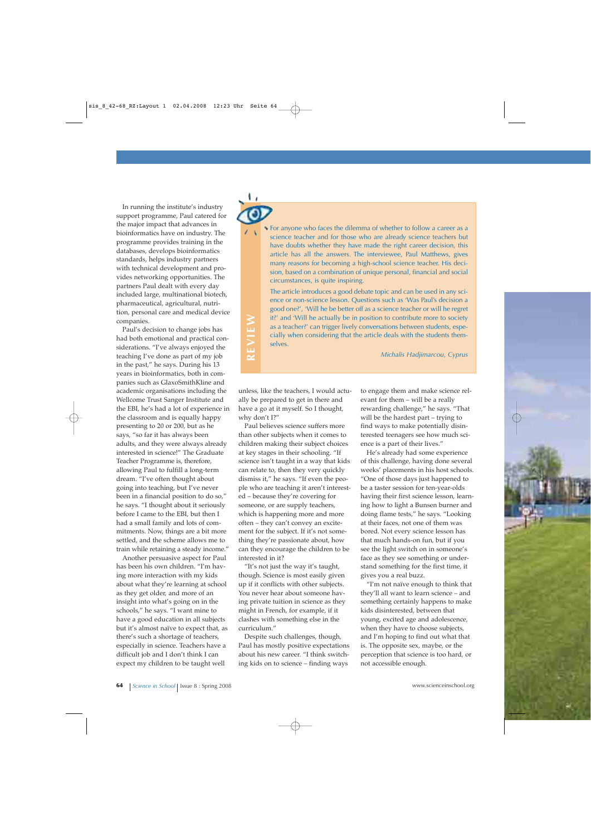In running the institute's industry support programme, Paul catered for the major impact that advances in bioinformatics have on industry. The programme provides training in the databases, develops bioinformatics standards, helps industry partners with technical development and provides networking opportunities. The partners Paul dealt with every day included large, multinational biotech, pharmaceutical, agricultural, nutrition, personal care and medical device companies.

Paul's decision to change jobs has had both emotional and practical considerations. "I've always enjoyed the teaching I've done as part of my job in the past," he says. During his 13 years in bioinformatics, both in companies such as GlaxoSmithKline and academic organisations including the Wellcome Trust Sanger Institute and the EBI, he's had a lot of experience in the classroom and is equally happy presenting to 20 or 200, but as he says, "so far it has always been adults, and they were always already interested in science!" The Graduate Teacher Programme is, therefore, allowing Paul to fulfill a long-term dream. "I've often thought about going into teaching, but I've never been in a financial position to do so," he says. "I thought about it seriously before I came to the EBI, but then I had a small family and lots of commitments. Now, things are a bit more settled, and the scheme allows me to train while retaining a steady income."

Another persuasive aspect for Paul has been his own children. "I'm having more interaction with my kids about what they're learning at school as they get older, and more of an insight into what's going on in the schools," he says. "I want mine to have a good education in all subjects but it's almost naïve to expect that, as there's such a shortage of teachers, especially in science. Teachers have a difficult job and I don't think I can expect my children to be taught well

For anyone who faces the dilemma of whether to follow a career as a science teacher and for those who are already science teachers but have doubts whether they have made the right career decision, this article has all the answers. The interviewee, Paul Matthews, gives many reasons for becoming a high-school science teacher. His decision, based on a combination of unique personal, financial and social circumstances, is quite inspiring.

The article introduces a good debate topic and can be used in any science or non-science lesson. Questions such as 'Was Paul's decision a good one?', 'Will he be better off as a science teacher or will he regret it?' and 'Will he actually be in position to contribute more to society as a teacher?' can trigger lively conversations between students, especially when considering that the article deals with the students themselves.

*Michalis Hadjimarcou, Cyprus*

**REVIEW** EVIEW  $\overline{\bf{z}}$ 

unless, like the teachers, I would actually be prepared to get in there and have a go at it myself. So I thought, why don't I?"

Paul believes science suffers more than other subjects when it comes to children making their subject choices at key stages in their schooling. "If science isn't taught in a way that kids can relate to, then they very quickly dismiss it," he says. "If even the people who are teaching it aren't interested – because they're covering for someone, or are supply teachers, which is happening more and more often – they can't convey an excitement for the subject. If it's not something they're passionate about, how can they encourage the children to be interested in it?

"It's not just the way it's taught, though. Science is most easily given up if it conflicts with other subjects. You never hear about someone having private tuition in science as they might in French, for example, if it clashes with something else in the curriculum."

Despite such challenges, though, Paul has mostly positive expectations about his new career. "I think switching kids on to science – finding ways

to engage them and make science relevant for them – will be a really rewarding challenge," he says. "That will be the hardest part – trying to find ways to make potentially disinterested teenagers see how much science is a part of their lives."

He's already had some experience of this challenge, having done several weeks' placements in his host schools. "One of those days just happened to be a taster session for ten-year-olds having their first science lesson, learning how to light a Bunsen burner and doing flame tests," he says. "Looking at their faces, not one of them was bored. Not every science lesson has that much hands-on fun, but if you see the light switch on in someone's face as they see something or understand something for the first time, it gives you a real buzz.

"I'm not naïve enough to think that they'll all want to learn science – and something certainly happens to make kids disinterested, between that young, excited age and adolescence, when they have to choose subjects, and I'm hoping to find out what that is. The opposite sex, maybe, or the perception that science is too hard, or not accessible enough.